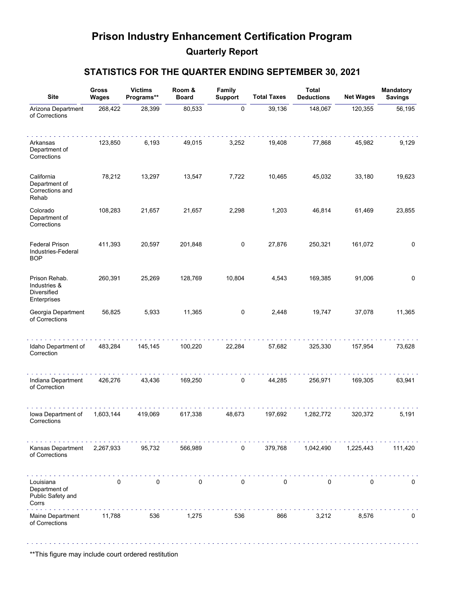# **Prison Industry Enhancement Certification Program Quarterly Report**

### **STATISTICS FOR THE QUARTER ENDING SEPTEMBER 30, 2021**

| <b>Site</b>                                                 | Gross<br>Wages | <b>Victims</b><br>Programs** | Room &<br><b>Board</b> | Family<br><b>Support</b> | <b>Total Taxes</b> | <b>Total</b><br><b>Deductions</b> | <b>Net Wages</b> | <b>Mandatory</b><br><b>Savings</b> |
|-------------------------------------------------------------|----------------|------------------------------|------------------------|--------------------------|--------------------|-----------------------------------|------------------|------------------------------------|
| Arizona Department<br>of Corrections                        | 268,422        | 28,399                       | 80,533                 | 0                        | 39,136             | 148,067                           | 120,355          | 56,195                             |
| Arkansas<br>Department of<br>Corrections                    | 123,850        | 6,193                        | 49,015                 | 3,252                    | 19,408             | 77,868                            | 45,982           | 9,129                              |
| California<br>Department of<br>Corrections and<br>Rehab     | 78,212         | 13,297                       | 13,547                 | 7,722                    | 10,465             | 45,032                            | 33,180           | 19,623                             |
| Colorado<br>Department of<br>Corrections                    | 108,283        | 21,657                       | 21,657                 | 2,298                    | 1,203              | 46,814                            | 61,469           | 23,855                             |
| <b>Federal Prison</b><br>Industries-Federal<br><b>BOP</b>   | 411,393        | 20,597                       | 201,848                | $\pmb{0}$                | 27,876             | 250,321                           | 161,072          | 0                                  |
| Prison Rehab.<br>Industries &<br>Diversified<br>Enterprises | 260,391        | 25,269                       | 128,769                | 10,804                   | 4,543              | 169,385                           | 91,006           | 0                                  |
| Georgia Department<br>of Corrections                        | 56,825         | 5,933                        | 11,365                 | $\pmb{0}$                | 2,448              | 19,747                            | 37,078           | 11,365                             |
| Idaho Department of<br>Correction                           | 483,284        | 145,145                      | 100,220                | 22,284                   | 57,682             | 325,330                           | 157,954          | 73,628                             |
| Indiana Department<br>of Correction                         | 426,276        | 43,436                       | 169,250                | 0                        | 44,285             | 256,971                           | 169,305          | 63,941                             |
| Iowa Department of<br>Corrections                           | 1,603,144      | 419,069                      | 617,338                | 48,673                   | 197,692            | 1,282,772                         | 320,372          | 5,191                              |
| Kansas Department<br>of Corrections                         | 2,267,933      | 95,732                       | 566,989                | $\mathbf 0$              | 379,768            | 1,042,490                         | 1,225,443        | 111,420                            |
| Louisiana<br>Department of<br>Public Safety and<br>Corrs    | $\mathbf 0$    | $\pmb{0}$                    | $\mathbf 0$            | $\pmb{0}$                | $\mathbf 0$        | 0                                 | 0                | $\mathbf 0$                        |
| Maine Department<br>of Corrections                          | 11,788         | 536                          | 1,275                  | 536                      | 866                | 3,212                             | 8,576            | 0                                  |

\*\*This figure may include court ordered restitution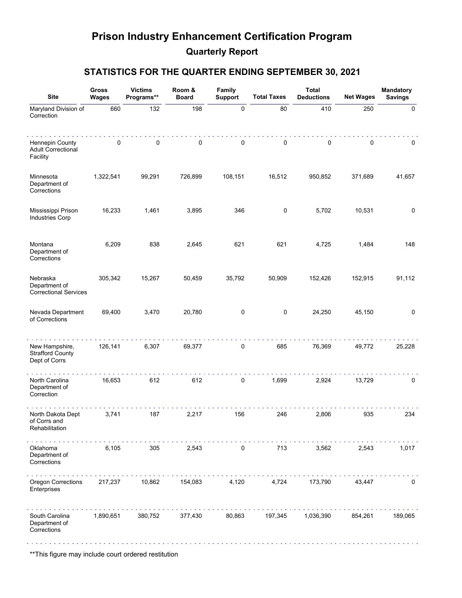# **Prison Industry Enhancement Certification Program Quarterly Report**

#### **STATISTICS FOR THE QUARTER ENDING SEPTEMBER 30, 2021**

| <b>Site</b>                                                | Gross<br><b>Wages</b> | <b>Victims</b><br>Programs** | Room &<br><b>Board</b> | Family<br><b>Support</b> | <b>Total Taxes</b> | <b>Total</b><br><b>Deductions</b> | <b>Net Wages</b> | <b>Mandatory</b><br><b>Savings</b> |
|------------------------------------------------------------|-----------------------|------------------------------|------------------------|--------------------------|--------------------|-----------------------------------|------------------|------------------------------------|
| Maryland Division of<br>Correction                         | 660                   | 132                          | 198                    | $\pmb{0}$                | 80                 | 410                               | 250              | 0                                  |
| Hennepin County<br><b>Adult Correctional</b><br>Facility   | 0                     | 0                            | $\pmb{0}$              | 0                        | 0                  | 0                                 | 0                | 0                                  |
| Minnesota<br>Department of<br>Corrections                  | 1,322,541             | 99,291                       | 726,899                | 108,151                  | 16,512             | 950,852                           | 371,689          | 41,657                             |
| Mississippi Prison<br><b>Industries Corp</b>               | 16,233                | 1,461                        | 3,895                  | 346                      | 0                  | 5,702                             | 10,531           | 0                                  |
| Montana<br>Department of<br>Corrections                    | 6,209                 | 838                          | 2,645                  | 621                      | 621                | 4,725                             | 1,484            | 148                                |
| Nebraska<br>Department of<br><b>Correctional Services</b>  | 305,342               | 15,267                       | 50,459                 | 35,792                   | 50,909             | 152,426                           | 152,915          | 91,112                             |
| Nevada Department<br>of Corrections                        | 69,400                | 3,470                        | 20,780                 | 0                        | 0                  | 24,250                            | 45,150           | $\mathbf 0$                        |
| New Hampshire,<br><b>Strafford County</b><br>Dept of Corrs | 126,141               | 6,307                        | 69,377                 | 0                        | 685                | 76,369                            | 49,772           | 25,228                             |
| North Carolina<br>Department of<br>Correction              | 16,653                | 612                          | 612                    | 0                        | 1,699              | 2,924                             | 13,729           | 0                                  |
| North Dakota Dept<br>of Corrs and<br>Rehabilitation        | 3,741                 | 187                          | 2,217                  | 156                      | 246                | 2,806                             | 935              | 234                                |
| Oklahoma<br>Department of<br>Corrections                   | 6,105                 | 305                          | 2,543                  | 0                        | 713                | 3,562                             | 2,543            | 1,017                              |
| Oregon Corrections<br>Enterprises                          | 217,237               | 10,862                       | 154,083                | 4,120                    | 4,724              | 173,790                           | 43,447           | $\mathbf 0$                        |
| South Carolina<br>Department of<br>Corrections             | 1,890,651             | 380,752                      | 377,430                | 80,863                   | 197,345            | 1,036,390                         | 854,261          | 189,065                            |

\*\*This figure may include court ordered restitution